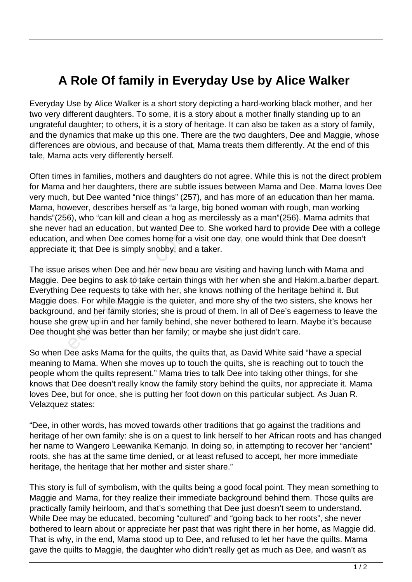## **A Role Of family in Everyday Use by Alice Walker**

Everyday Use by Alice Walker is a short story depicting a hard-working black mother, and her two very different daughters. To some, it is a story about a mother finally standing up to an ungrateful daughter; to others, it is a story of heritage. It can also be taken as a story of family, and the dynamics that make up this one. There are the two daughters, Dee and Maggie, whose differences are obvious, and because of that, Mama treats them differently. At the end of this tale, Mama acts very differently herself.

Often times in families, mothers and daughters do not agree. While this is not the direct problem for Mama and her daughters, there are subtle issues between Mama and Dee. Mama loves Dee very much, but Dee wanted "nice things" (257), and has more of an education than her mama. Mama, however, describes herself as "a large, big boned woman with rough, man working hands"(256), who "can kill and clean a hog as mercilessly as a man"(256). Mama admits that she never had an education, but wanted Dee to. She worked hard to provide Dee with a college education, and when Dee comes home for a visit one day, one would think that Dee doesn't appreciate it; that Dee is simply snobby, and a taker.

The issue arises when Dee and her new beau are visiting and having lunch with Mama and Maggie. Dee begins to ask to take certain things with her when she and Hakim.a.barber depart. Everything Dee requests to take with her, she knows nothing of the heritage behind it. But Maggie does. For while Maggie is the quieter, and more shy of the two sisters, she knows her background, and her family stories; she is proud of them. In all of Dee's eagerness to leave the house she grew up in and her family behind, she never bothered to learn. Maybe it's because Dee thought she was better than her family; or maybe she just didn't care. and when Dee comes home for a<br>it; that Dee is simply snobby, and<br>arises when Dee and her new bea<br>ee begins to ask to take certain th<br>Dee requests to take with her, sh<br>es. For while Maggie is the quiete<br>d, and her family st

So when Dee asks Mama for the quilts, the quilts that, as David White said "have a special meaning to Mama. When she moves up to touch the quilts, she is reaching out to touch the people whom the quilts represent." Mama tries to talk Dee into taking other things, for she knows that Dee doesn't really know the family story behind the quilts, nor appreciate it. Mama loves Dee, but for once, she is putting her foot down on this particular subject. As Juan R. Velazquez states:

"Dee, in other words, has moved towards other traditions that go against the traditions and heritage of her own family: she is on a quest to link herself to her African roots and has changed her name to Wangero Leewanika Kemanjo. In doing so, in attempting to recover her "ancient" roots, she has at the same time denied, or at least refused to accept, her more immediate heritage, the heritage that her mother and sister share."

This story is full of symbolism, with the quilts being a good focal point. They mean something to Maggie and Mama, for they realize their immediate background behind them. Those quilts are practically family heirloom, and that's something that Dee just doesn't seem to understand. While Dee may be educated, becoming "cultured" and "going back to her roots", she never bothered to learn about or appreciate her past that was right there in her home, as Maggie did. That is why, in the end, Mama stood up to Dee, and refused to let her have the quilts. Mama gave the quilts to Maggie, the daughter who didn't really get as much as Dee, and wasn't as